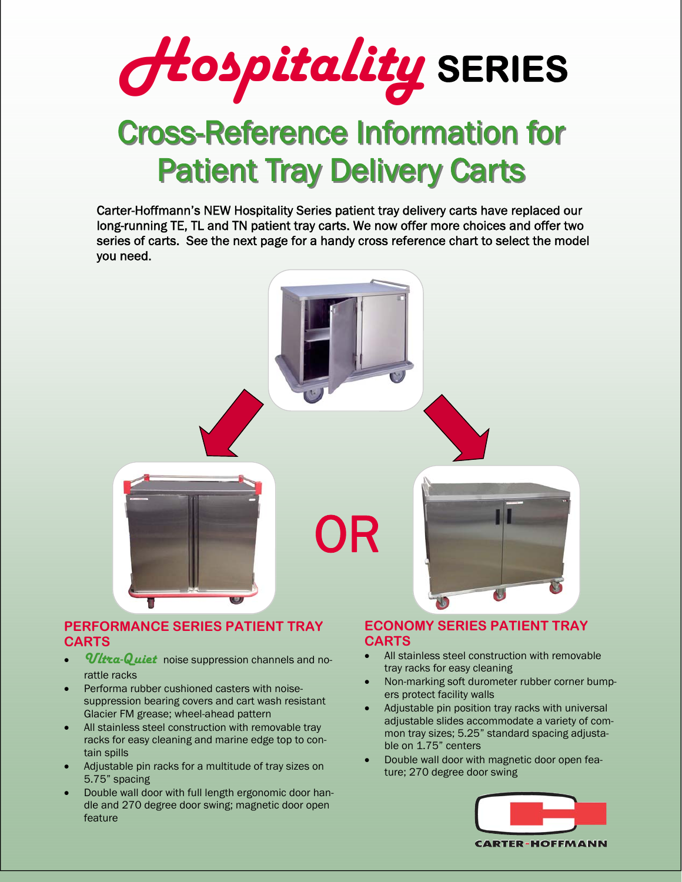

## **Cross-Reference Information for Patient Tray Delivery Carts**

Carter-Hoffmann's NEW Hospitality Series patient tray delivery carts have replaced our long-running TE, TL and TN patient tray carts. We now offer more choices and offer two series of carts. See the next page for a handy cross reference chart to select the model you need.



## **PERFORMANCE SERIES PATIENT TRAY CARTS**

- *Ultra-Quiet* noise suppression channels and norattle racks
- Performa rubber cushioned casters with noisesuppression bearing covers and cart wash resistant Glacier FM grease; wheel-ahead pattern
- All stainless steel construction with removable tray racks for easy cleaning and marine edge top to contain spills
- Adjustable pin racks for a multitude of tray sizes on 5.75" spacing
- Double wall door with full length ergonomic door handle and 270 degree door swing; magnetic door open feature

## **ECONOMY SERIES PATIENT TRAY CARTS**

- All stainless steel construction with removable tray racks for easy cleaning
- Non-marking soft durometer rubber corner bumpers protect facility walls
- Adjustable pin position tray racks with universal adjustable slides accommodate a variety of common tray sizes; 5.25" standard spacing adjustable on 1.75" centers
- Double wall door with magnetic door open feature; 270 degree door swing